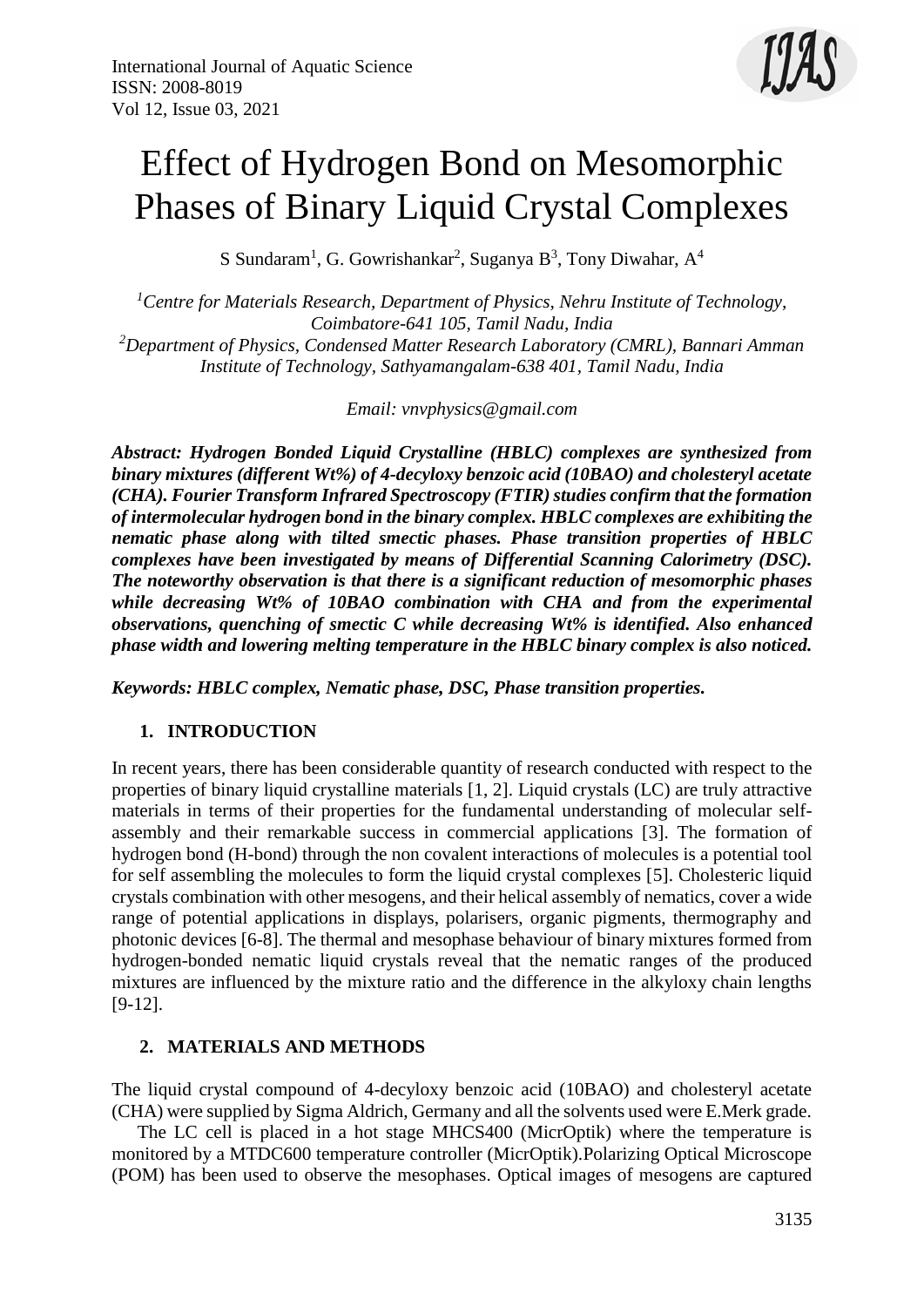

# Effect of Hydrogen Bond on Mesomorphic Phases of Binary Liquid Crystal Complexes

S Sundaram<sup>1</sup>, G. Gowrishankar<sup>2</sup>, Suganya B<sup>3</sup>, Tony Diwahar, A<sup>4</sup>

*<sup>1</sup>Centre for Materials Research, Department of Physics, Nehru Institute of Technology, Coimbatore-641 105, Tamil Nadu, India <sup>2</sup>Department of Physics, Condensed Matter Research Laboratory (CMRL), Bannari Amman Institute of Technology, Sathyamangalam-638 401, Tamil Nadu, India*

*Email: vnvphysics@gmail.com*

*Abstract: Hydrogen Bonded Liquid Crystalline (HBLC) complexes are synthesized from binary mixtures (different Wt%) of 4-decyloxy benzoic acid (10BAO) and cholesteryl acetate (CHA). Fourier Transform Infrared Spectroscopy (FTIR) studies confirm that the formation of intermolecular hydrogen bond in the binary complex. HBLC complexes are exhibiting the nematic phase along with tilted smectic phases. Phase transition properties of HBLC complexes have been investigated by means of Differential Scanning Calorimetry (DSC). The noteworthy observation is that there is a significant reduction of mesomorphic phases while decreasing Wt% of 10BAO combination with CHA and from the experimental observations, quenching of smectic C while decreasing Wt% is identified. Also enhanced phase width and lowering melting temperature in the HBLC binary complex is also noticed.*

*Keywords: HBLC complex, Nematic phase, DSC, Phase transition properties.*

# **1. INTRODUCTION**

In recent years, there has been considerable quantity of research conducted with respect to the properties of binary liquid crystalline materials [1, 2]. Liquid crystals (LC) are truly attractive materials in terms of their properties for the fundamental understanding of molecular selfassembly and their remarkable success in commercial applications [3]. The formation of hydrogen bond (H-bond) through the non covalent interactions of molecules is a potential tool for self assembling the molecules to form the liquid crystal complexes [5]. Cholesteric liquid crystals combination with other mesogens, and their helical assembly of nematics, cover a wide range of potential applications in displays, polarisers, organic pigments, thermography and photonic devices [6-8]. The thermal and mesophase behaviour of binary mixtures formed from hydrogen-bonded nematic liquid crystals reveal that the nematic ranges of the produced mixtures are influenced by the mixture ratio and the difference in the alkyloxy chain lengths [9-12].

# **2. MATERIALS AND METHODS**

The liquid crystal compound of 4-decyloxy benzoic acid (10BAO) and cholesteryl acetate (CHA) were supplied by Sigma Aldrich, Germany and all the solvents used were E.Merk grade.

The LC cell is placed in a hot stage MHCS400 (MicrOptik) where the temperature is monitored by a MTDC600 temperature controller (MicrOptik).Polarizing Optical Microscope (POM) has been used to observe the mesophases. Optical images of mesogens are captured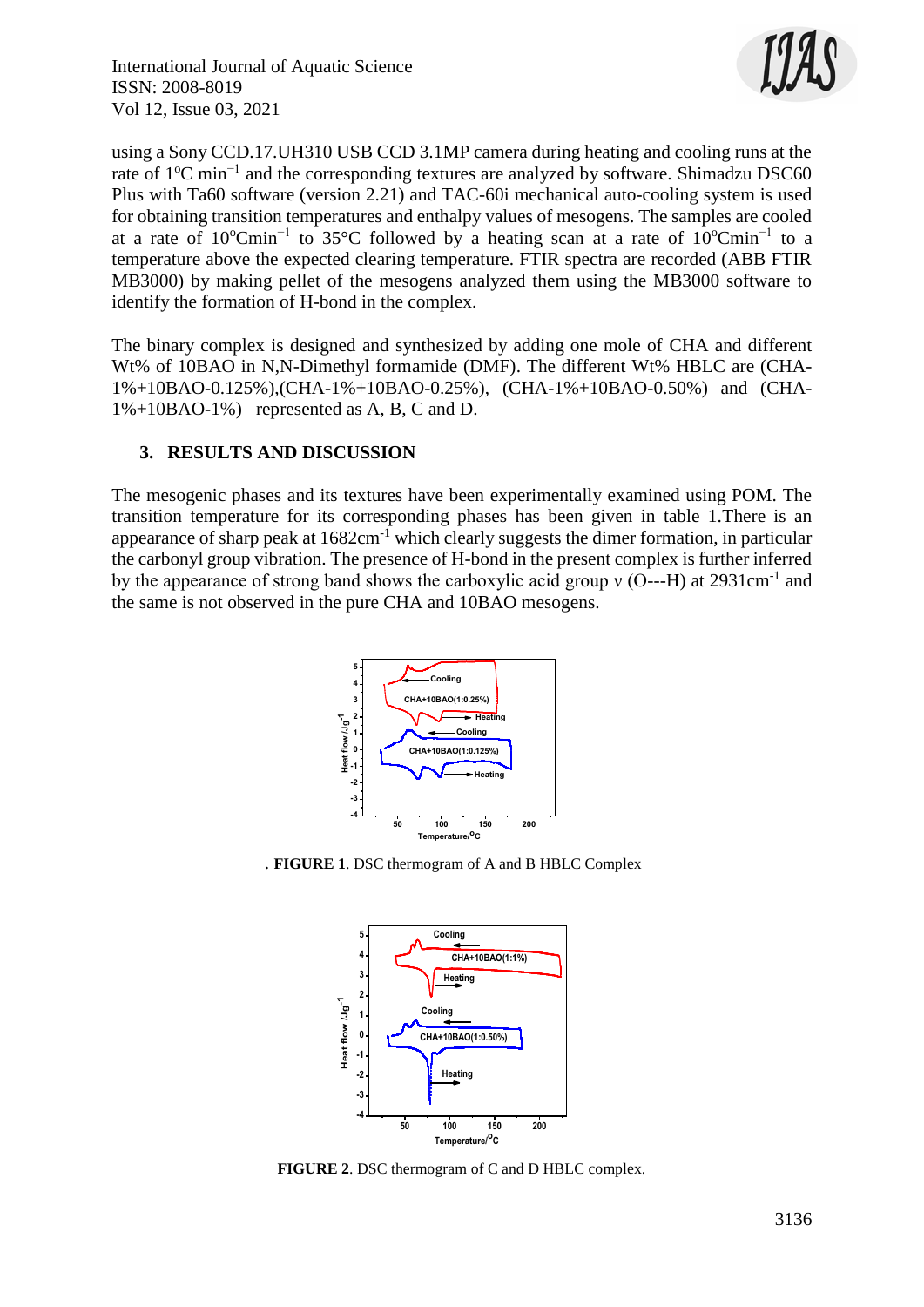

using a Sony CCD.17.UH310 USB CCD 3.1MP camera during heating and cooling runs at the rate of 1°C min<sup>-1</sup> and the corresponding textures are analyzed by software. Shimadzu DSC60 Plus with Ta60 software (version 2.21) and TAC-60i mechanical auto-cooling system is used for obtaining transition temperatures and enthalpy values of mesogens. The samples are cooled at a rate of  $10^{\circ}$ Cmin<sup>-1</sup> to 35°C followed by a heating scan at a rate of  $10^{\circ}$ Cmin<sup>-1</sup> to a temperature above the expected clearing temperature. FTIR spectra are recorded (ABB FTIR MB3000) by making pellet of the mesogens analyzed them using the MB3000 software to identify the formation of H-bond in the complex.

The binary complex is designed and synthesized by adding one mole of CHA and different Wt% of 10BAO in N,N-Dimethyl formamide (DMF). The different Wt% HBLC are (CHA-1%+10BAO-0.125%),(CHA-1%+10BAO-0.25%), (CHA-1%+10BAO-0.50%) and (CHA-1%+10BAO-1%) represented as A, B, C and D.

# **3. RESULTS AND DISCUSSION**

The mesogenic phases and its textures have been experimentally examined using POM. The transition temperature for its corresponding phases has been given in table 1.There is an appearance of sharp peak at  $1682 \text{cm}^{-1}$  which clearly suggests the dimer formation, in particular the carbonyl group vibration. The presence of H-bond in the present complex is further inferred by the appearance of strong band shows the carboxylic acid group  $v$  (O---H) at 2931cm<sup>-1</sup> and the same is not observed in the pure CHA and 10BAO mesogens.



. **FIGURE 1**. DSC thermogram of A and B HBLC Complex



**FIGURE 2**. DSC thermogram of C and D HBLC complex.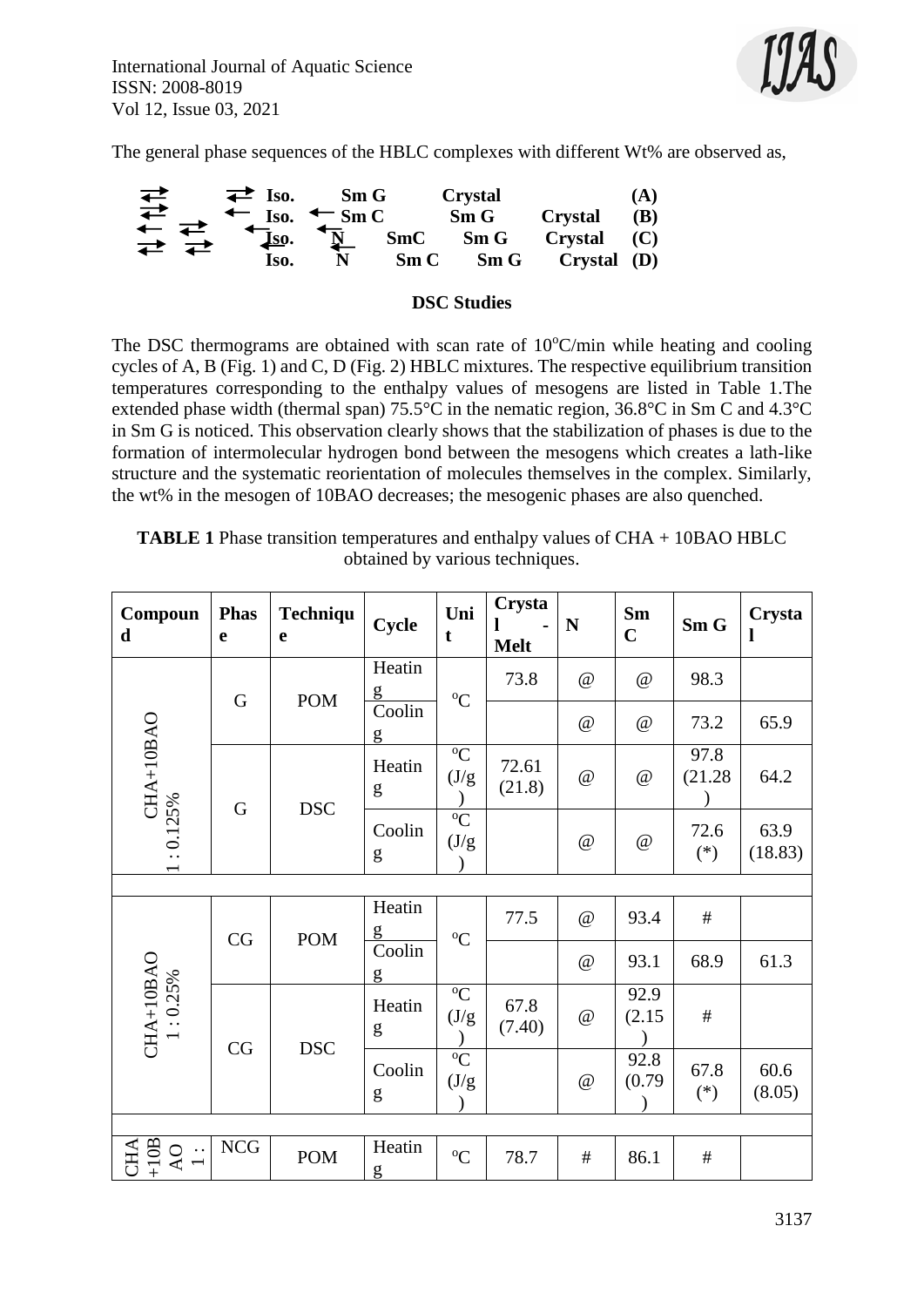

The general phase sequences of the HBLC complexes with different Wt% are observed as,



#### **DSC Studies**

The DSC thermograms are obtained with scan rate of  $10^{\circ}$ C/min while heating and cooling cycles of A, B (Fig. 1) and C, D (Fig. 2) HBLC mixtures. The respective equilibrium transition temperatures corresponding to the enthalpy values of mesogens are listed in Table 1.The extended phase width (thermal span) 75.5°C in the nematic region, 36.8°C in Sm C and 4.3°C in Sm G is noticed. This observation clearly shows that the stabilization of phases is due to the formation of intermolecular hydrogen bond between the mesogens which creates a lath-like structure and the systematic reorientation of molecules themselves in the complex. Similarly, the wt% in the mesogen of 10BAO decreases; the mesogenic phases are also quenched.

| <b>TABLE 1</b> Phase transition temperatures and enthalpy values of CHA + 10BAO HBLC |
|--------------------------------------------------------------------------------------|
| obtained by various techniques.                                                      |

| Compoun<br>d                   | <b>Phas</b><br>e | Techniqu<br>e | Cycle       | Uni<br>t                | Crysta<br><b>Melt</b> | N                    | Sm<br>$\mathbf C$         | Sm G            | Crysta<br>1     |  |
|--------------------------------|------------------|---------------|-------------|-------------------------|-----------------------|----------------------|---------------------------|-----------------|-----------------|--|
| CHA+10BAO<br>1:0.125%          | $\mathbf G$      | <b>POM</b>    | Heatin<br>g | ${}^{\circ}C$           | 73.8                  | $\omega$             | @                         | 98.3            |                 |  |
|                                |                  |               | Coolin<br>g |                         |                       | @                    | @                         | 73.2            | 65.9            |  |
|                                | $\mathbf G$      | <b>DSC</b>    | Heatin<br>g | ${}^{\circ}C$<br>(J/g)  | 72.61<br>(21.8)       | $\omega$             | $\mathcal Q$              | 97.8<br>(21.28) | 64.2            |  |
|                                |                  |               | Coolin<br>g | ${}^{\circ}C$<br>(J/g)  |                       | $^{\textregistered}$ | $^\text{\textregistered}$ | 72.6<br>$(*)$   | 63.9<br>(18.83) |  |
|                                |                  |               |             |                         |                       |                      |                           |                 |                 |  |
| $CHA+10BAO$<br>$1:0.25\%$      | CG               | <b>POM</b>    | Heatin<br>g | ${}^{\circ}C$           | 77.5                  | @                    | 93.4                      | $\#$            |                 |  |
|                                |                  |               | Coolin<br>g |                         |                       | $\omega$             | 93.1                      | 68.9            | 61.3            |  |
|                                | CG               | <b>DSC</b>    | Heatin<br>g | ${}^{\circ}C$<br>(J/g)  | 67.8<br>(7.40)        | $\omega$             | 92.9<br>(2.15)            | $\#$            |                 |  |
|                                |                  |               | Coolin<br>g | $\overline{C}$<br>(J/g) |                       | @                    | 92.8<br>(0.79)            | 67.8<br>$(*)$   | 60.6<br>(8.05)  |  |
|                                |                  |               |             |                         |                       |                      |                           |                 |                 |  |
| $+10B$<br>CHA<br>$\frac{1}{1}$ | ${\rm NCG}$      | <b>POM</b>    | Heatin<br>g | ${}^{0}C$               | 78.7                  | $\#$                 | 86.1                      | $\#$            |                 |  |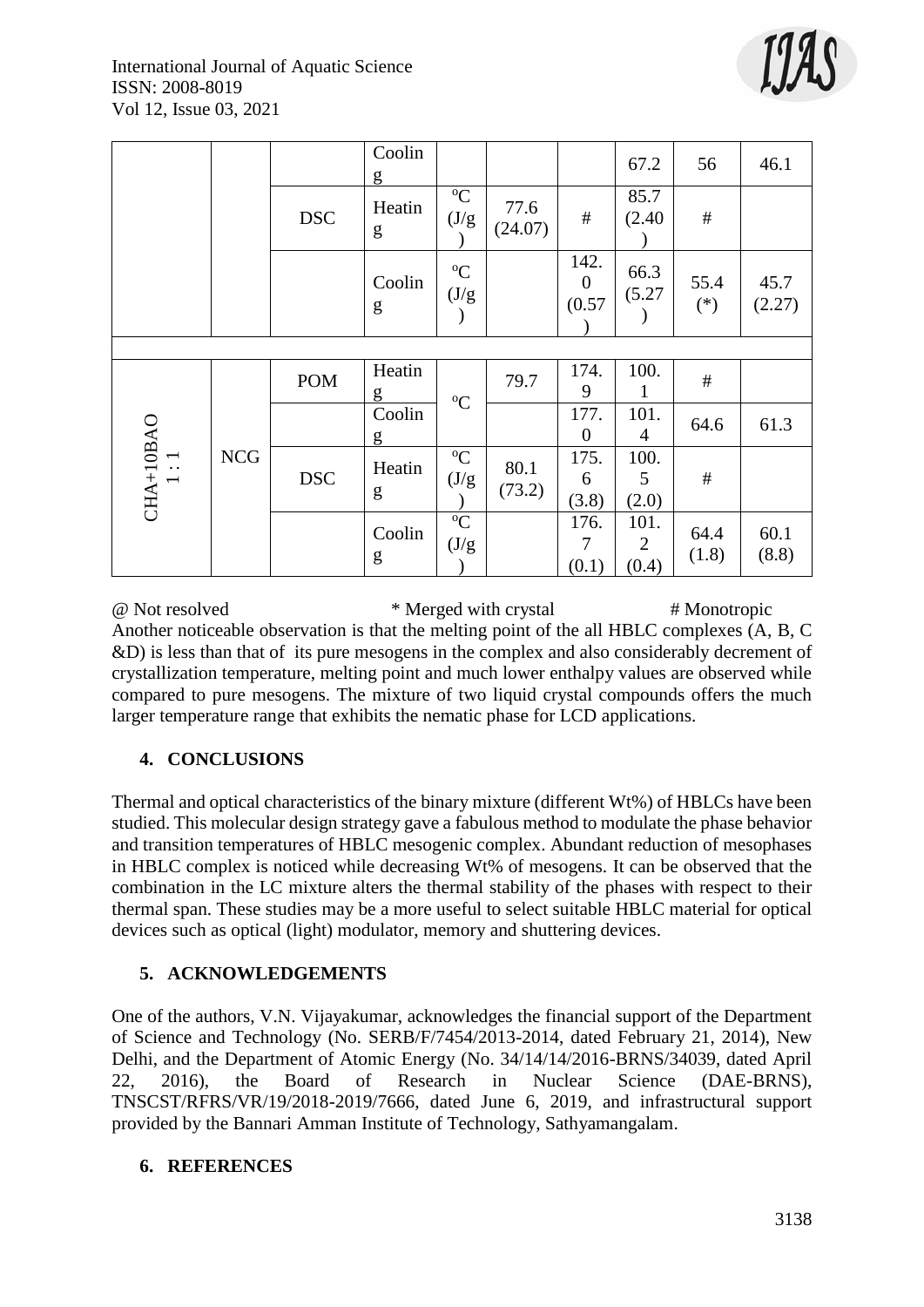

|                                                                     |            |            | Coolin<br>$\mathbf{g}$ |                        |                 |                            | 67.2               | 56            | 46.1           |
|---------------------------------------------------------------------|------------|------------|------------------------|------------------------|-----------------|----------------------------|--------------------|---------------|----------------|
|                                                                     |            | <b>DSC</b> | Heatin<br>g            | ${}^{\circ}C$<br>(J/g) | 77.6<br>(24.07) | $\#$                       | 85.7<br>(2.40)     | $\#$          |                |
|                                                                     |            |            | Coolin<br>g            | $\rm ^{o}C$<br>(J/g)   |                 | 142.<br>$\theta$<br>(0.57) | 66.3<br>(5.27)     | 55.4<br>$(*)$ | 45.7<br>(2.27) |
|                                                                     |            |            |                        |                        |                 |                            |                    |               |                |
|                                                                     |            | <b>POM</b> | Heatin<br>g            | $\rm ^{o}C$            | 79.7            | 174.<br>9                  | 100.               | $\#$          |                |
| $\begin{array}{c} \mathrm{CHA}{+10\mathrm{BAO}} \\ 1:1 \end{array}$ | <b>NCG</b> |            | Coolin<br>g            |                        |                 | 177.<br>$\overline{0}$     | 101.<br>4          | 64.6          | 61.3           |
|                                                                     |            | <b>DSC</b> | Heatin<br>g            | ${}^{\circ}C$<br>(J/g) | 80.1<br>(73.2)  | 175.<br>6<br>(3.8)         | 100.<br>5<br>(2.0) | $\#$          |                |
|                                                                     |            |            | Coolin<br>g            | $\rm ^{o}C$<br>(J/g)   |                 | 176.<br>7<br>(0.1)         | 101.<br>2<br>(0.4) | 64.4<br>(1.8) | 60.1<br>(8.8)  |

@ Not resolved \* Merged with crystal # Monotropic Another noticeable observation is that the melting point of the all HBLC complexes (A, B, C &D) is less than that of its pure mesogens in the complex and also considerably decrement of crystallization temperature, melting point and much lower enthalpy values are observed while compared to pure mesogens. The mixture of two liquid crystal compounds offers the much larger temperature range that exhibits the nematic phase for LCD applications.

# **4. CONCLUSIONS**

Thermal and optical characteristics of the binary mixture (different Wt%) of HBLCs have been studied. This molecular design strategy gave a fabulous method to modulate the phase behavior and transition temperatures of HBLC mesogenic complex. Abundant reduction of mesophases in HBLC complex is noticed while decreasing Wt% of mesogens. It can be observed that the combination in the LC mixture alters the thermal stability of the phases with respect to their thermal span. These studies may be a more useful to select suitable HBLC material for optical devices such as optical (light) modulator, memory and shuttering devices.

# **5. ACKNOWLEDGEMENTS**

One of the authors, V.N. Vijayakumar, acknowledges the financial support of the Department of Science and Technology (No. SERB/F/7454/2013-2014, dated February 21, 2014), New Delhi, and the Department of Atomic Energy (No. 34/14/14/2016-BRNS/34039, dated April 22, 2016), the Board of Research in Nuclear Science (DAE-BRNS), TNSCST/RFRS/VR/19/2018-2019/7666, dated June 6, 2019, and infrastructural support provided by the Bannari Amman Institute of Technology, Sathyamangalam.

# **6. REFERENCES**